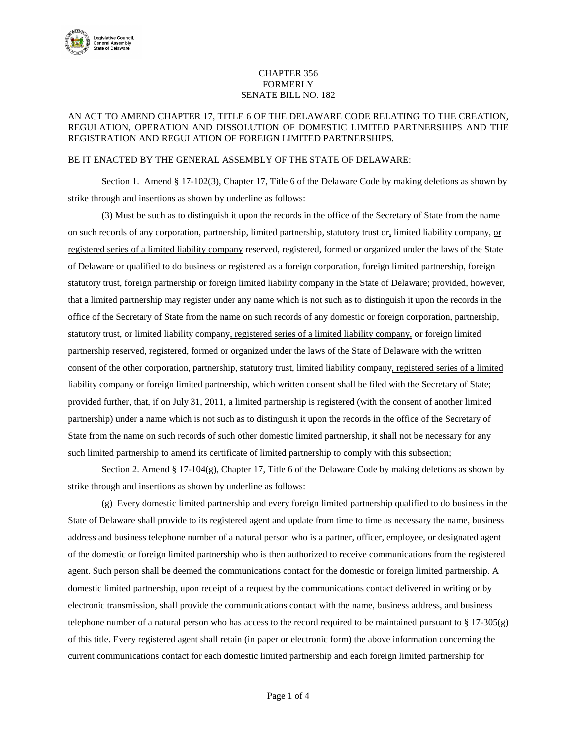

## CHAPTER 356 FORMERLY SENATE BILL NO. 182

## AN ACT TO AMEND CHAPTER 17, TITLE 6 OF THE DELAWARE CODE RELATING TO THE CREATION, REGULATION, OPERATION AND DISSOLUTION OF DOMESTIC LIMITED PARTNERSHIPS AND THE REGISTRATION AND REGULATION OF FOREIGN LIMITED PARTNERSHIPS.

## BE IT ENACTED BY THE GENERAL ASSEMBLY OF THE STATE OF DELAWARE:

Section 1. Amend § 17-102(3), Chapter 17, Title 6 of the Delaware Code by making deletions as shown by strike through and insertions as shown by underline as follows:

(3) Must be such as to distinguish it upon the records in the office of the Secretary of State from the name on such records of any corporation, partnership, limited partnership, statutory trust  $\omega$ , limited liability company, or registered series of a limited liability company reserved, registered, formed or organized under the laws of the State of Delaware or qualified to do business or registered as a foreign corporation, foreign limited partnership, foreign statutory trust, foreign partnership or foreign limited liability company in the State of Delaware; provided, however, that a limited partnership may register under any name which is not such as to distinguish it upon the records in the office of the Secretary of State from the name on such records of any domestic or foreign corporation, partnership, statutory trust, or limited liability company, registered series of a limited liability company, or foreign limited partnership reserved, registered, formed or organized under the laws of the State of Delaware with the written consent of the other corporation, partnership, statutory trust, limited liability company, registered series of a limited liability company or foreign limited partnership, which written consent shall be filed with the Secretary of State; provided further, that, if on July 31, 2011, a limited partnership is registered (with the consent of another limited partnership) under a name which is not such as to distinguish it upon the records in the office of the Secretary of State from the name on such records of such other domestic limited partnership, it shall not be necessary for any such limited partnership to amend its certificate of limited partnership to comply with this subsection;

Section 2. Amend § 17-104(g), Chapter 17, Title 6 of the Delaware Code by making deletions as shown by strike through and insertions as shown by underline as follows:

(g) Every domestic limited partnership and every foreign limited partnership qualified to do business in the State of Delaware shall provide to its registered agent and update from time to time as necessary the name, business address and business telephone number of a natural person who is a partner, officer, employee, or designated agent of the domestic or foreign limited partnership who is then authorized to receive communications from the registered agent. Such person shall be deemed the communications contact for the domestic or foreign limited partnership. A domestic limited partnership, upon receipt of a request by the communications contact delivered in writing or by electronic transmission, shall provide the communications contact with the name, business address, and business telephone number of a natural person who has access to the record required to be maintained pursuant to § 17-305(g) of this title. Every registered agent shall retain (in paper or electronic form) the above information concerning the current communications contact for each domestic limited partnership and each foreign limited partnership for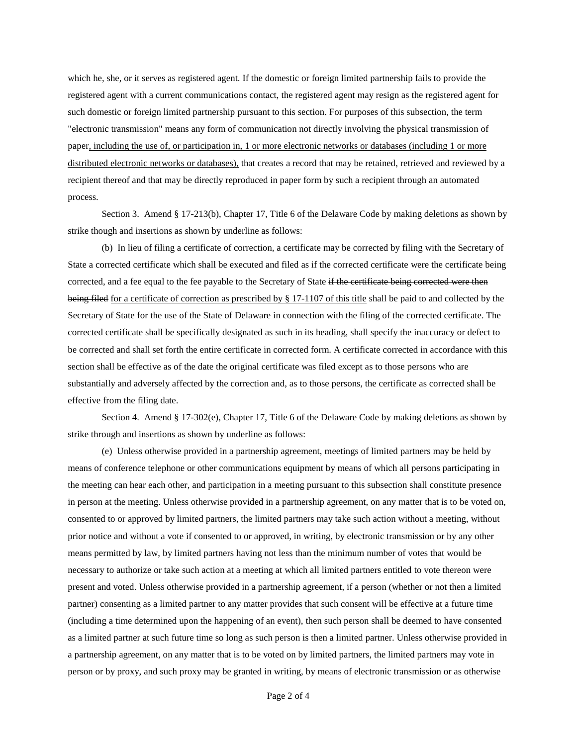which he, she, or it serves as registered agent. If the domestic or foreign limited partnership fails to provide the registered agent with a current communications contact, the registered agent may resign as the registered agent for such domestic or foreign limited partnership pursuant to this section. For purposes of this subsection, the term "electronic transmission" means any form of communication not directly involving the physical transmission of paper, including the use of, or participation in, 1 or more electronic networks or databases (including 1 or more distributed electronic networks or databases), that creates a record that may be retained, retrieved and reviewed by a recipient thereof and that may be directly reproduced in paper form by such a recipient through an automated process.

Section 3. Amend § 17-213(b), Chapter 17, Title 6 of the Delaware Code by making deletions as shown by strike though and insertions as shown by underline as follows:

(b) In lieu of filing a certificate of correction, a certificate may be corrected by filing with the Secretary of State a corrected certificate which shall be executed and filed as if the corrected certificate were the certificate being corrected, and a fee equal to the fee payable to the Secretary of State if the certificate being corrected were then being filed for a certificate of correction as prescribed by § 17-1107 of this title shall be paid to and collected by the Secretary of State for the use of the State of Delaware in connection with the filing of the corrected certificate. The corrected certificate shall be specifically designated as such in its heading, shall specify the inaccuracy or defect to be corrected and shall set forth the entire certificate in corrected form. A certificate corrected in accordance with this section shall be effective as of the date the original certificate was filed except as to those persons who are substantially and adversely affected by the correction and, as to those persons, the certificate as corrected shall be effective from the filing date.

Section 4. Amend § 17-302(e), Chapter 17, Title 6 of the Delaware Code by making deletions as shown by strike through and insertions as shown by underline as follows:

(e) Unless otherwise provided in a partnership agreement, meetings of limited partners may be held by means of conference telephone or other communications equipment by means of which all persons participating in the meeting can hear each other, and participation in a meeting pursuant to this subsection shall constitute presence in person at the meeting. Unless otherwise provided in a partnership agreement, on any matter that is to be voted on, consented to or approved by limited partners, the limited partners may take such action without a meeting, without prior notice and without a vote if consented to or approved, in writing, by electronic transmission or by any other means permitted by law, by limited partners having not less than the minimum number of votes that would be necessary to authorize or take such action at a meeting at which all limited partners entitled to vote thereon were present and voted. Unless otherwise provided in a partnership agreement, if a person (whether or not then a limited partner) consenting as a limited partner to any matter provides that such consent will be effective at a future time (including a time determined upon the happening of an event), then such person shall be deemed to have consented as a limited partner at such future time so long as such person is then a limited partner. Unless otherwise provided in a partnership agreement, on any matter that is to be voted on by limited partners, the limited partners may vote in person or by proxy, and such proxy may be granted in writing, by means of electronic transmission or as otherwise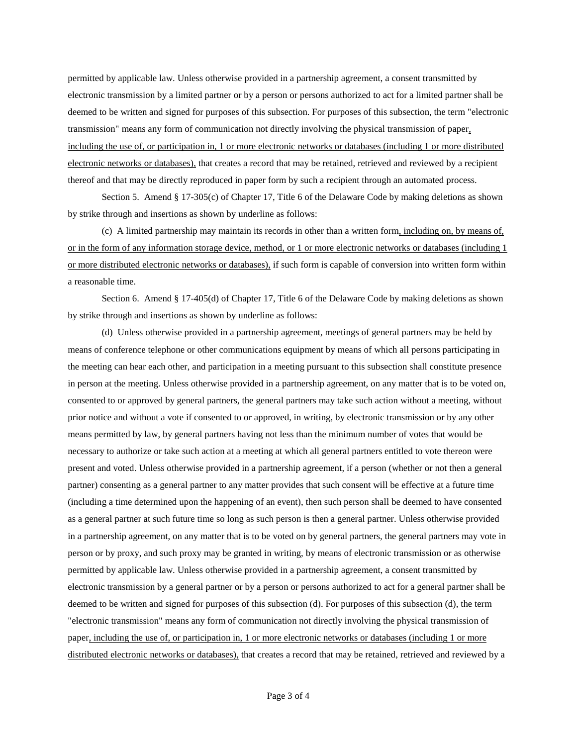permitted by applicable law. Unless otherwise provided in a partnership agreement, a consent transmitted by electronic transmission by a limited partner or by a person or persons authorized to act for a limited partner shall be deemed to be written and signed for purposes of this subsection. For purposes of this subsection, the term "electronic transmission" means any form of communication not directly involving the physical transmission of paper, including the use of, or participation in, 1 or more electronic networks or databases (including 1 or more distributed electronic networks or databases), that creates a record that may be retained, retrieved and reviewed by a recipient thereof and that may be directly reproduced in paper form by such a recipient through an automated process.

Section 5. Amend § 17-305(c) of Chapter 17, Title 6 of the Delaware Code by making deletions as shown by strike through and insertions as shown by underline as follows:

(c) A limited partnership may maintain its records in other than a written form, including on, by means of, or in the form of any information storage device, method, or 1 or more electronic networks or databases (including 1 or more distributed electronic networks or databases), if such form is capable of conversion into written form within a reasonable time.

Section 6. Amend § 17-405(d) of Chapter 17, Title 6 of the Delaware Code by making deletions as shown by strike through and insertions as shown by underline as follows:

(d) Unless otherwise provided in a partnership agreement, meetings of general partners may be held by means of conference telephone or other communications equipment by means of which all persons participating in the meeting can hear each other, and participation in a meeting pursuant to this subsection shall constitute presence in person at the meeting. Unless otherwise provided in a partnership agreement, on any matter that is to be voted on, consented to or approved by general partners, the general partners may take such action without a meeting, without prior notice and without a vote if consented to or approved, in writing, by electronic transmission or by any other means permitted by law, by general partners having not less than the minimum number of votes that would be necessary to authorize or take such action at a meeting at which all general partners entitled to vote thereon were present and voted. Unless otherwise provided in a partnership agreement, if a person (whether or not then a general partner) consenting as a general partner to any matter provides that such consent will be effective at a future time (including a time determined upon the happening of an event), then such person shall be deemed to have consented as a general partner at such future time so long as such person is then a general partner. Unless otherwise provided in a partnership agreement, on any matter that is to be voted on by general partners, the general partners may vote in person or by proxy, and such proxy may be granted in writing, by means of electronic transmission or as otherwise permitted by applicable law. Unless otherwise provided in a partnership agreement, a consent transmitted by electronic transmission by a general partner or by a person or persons authorized to act for a general partner shall be deemed to be written and signed for purposes of this subsection (d). For purposes of this subsection (d), the term "electronic transmission" means any form of communication not directly involving the physical transmission of paper, including the use of, or participation in, 1 or more electronic networks or databases (including 1 or more distributed electronic networks or databases), that creates a record that may be retained, retrieved and reviewed by a